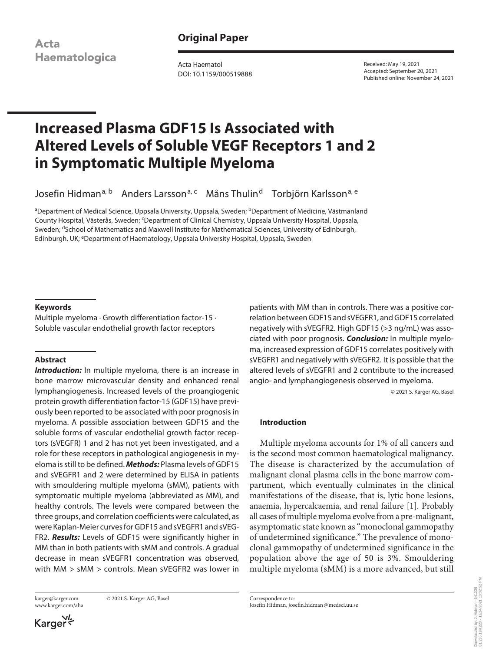**Acta** Haematologica **Original Paper**

Acta Haematol DOI: 10.1159/000519888 Received: May 19, 2021 Accepted: September 20, 2021 Published online: November 24, 2021

# **Increased Plasma GDF15 Is Associated with Altered Levels of Soluble VEGF Receptors 1 and 2 in Symptomatic Multiple Myeloma**

Josefin Hidman<sup>a, b</sup> Anders Larsson<sup>a, c</sup> Måns Thulin<sup>d</sup> Torbjörn Karlsson<sup>a, e</sup>

<sup>a</sup>Department of Medical Science, Uppsala University, Uppsala, Sweden; <sup>b</sup>Department of Medicine, Västmanland County Hospital, Västerås, Sweden; <sup>c</sup>Department of Clinical Chemistry, Uppsala University Hospital, Uppsala, Sweden; <sup>d</sup>School of Mathematics and Maxwell Institute for Mathematical Sciences, University of Edinburgh, Edinburgh, UK; <sup>e</sup>Department of Haematology, Uppsala University Hospital, Uppsala, Sweden

## **Keywords**

Multiple myeloma · Growth differentiation factor-15 · Soluble vascular endothelial growth factor receptors

# **Abstract**

*Introduction:* In multiple myeloma, there is an increase in bone marrow microvascular density and enhanced renal lymphangiogenesis. Increased levels of the proangiogenic protein growth differentiation factor-15 (GDF15) have previously been reported to be associated with poor prognosis in myeloma. A possible association between GDF15 and the soluble forms of vascular endothelial growth factor receptors (sVEGFR) 1 and 2 has not yet been investigated, and a role for these receptors in pathological angiogenesis in myeloma is still to be defined. *Methods:* Plasma levels of GDF15 and sVEGFR1 and 2 were determined by ELISA in patients with smouldering multiple myeloma (sMM), patients with symptomatic multiple myeloma (abbreviated as MM), and healthy controls. The levels were compared between the three groups, and correlation coefficients were calculated, as were Kaplan-Meier curves for GDF15 and sVEGFR1 and sVEG-FR2. *Results:* Levels of GDF15 were significantly higher in MM than in both patients with sMM and controls. A gradual decrease in mean sVEGFR1 concentration was observed, with MM > sMM > controls. Mean sVEGFR2 was lower in

www.karger.com/aha

karger@karger.com © 2021 S. Karger AG, Basel

Karger<sup>VL</sup>

patients with MM than in controls. There was a positive correlation between GDF15 and sVEGFR1, and GDF15 correlated negatively with sVEGFR2. High GDF15 (>3 ng/mL) was associated with poor prognosis. *Conclusion:* In multiple myeloma, increased expression of GDF15 correlates positively with sVEGFR1 and negatively with sVEGFR2. It is possible that the altered levels of sVEGFR1 and 2 contribute to the increased angio- and lymphangiogenesis observed in myeloma.

© 2021 S. Karger AG, Basel

# **Introduction**

<span id="page-0-0"></span>Multiple myeloma accounts for 1% of all cancers and is the second most common haematological malignancy. The disease is characterized by the accumulation of malignant clonal plasma cells in the bone marrow compartment, which eventually culminates in the clinical manifestations of the disease, that is, lytic bone lesions, anaemia, hypercalcaemia, and renal failure [\[1](#page-6-0)]. Probably all cases of multiple myeloma evolve from a pre-malignant, asymptomatic state known as "monoclonal gammopathy of undetermined significance." The prevalence of monoclonal gammopathy of undetermined significance in the population above the age of 50 is 3%. Smouldering multiple myeloma (sMM) is a more advanced, but still

Correspondence to: Josefin Hidman, josefin.hidman@medsci.uu.se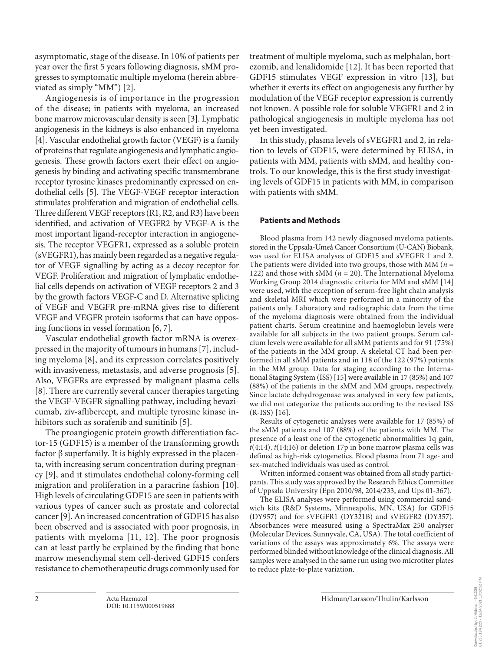asymptomatic, stage of the disease. In 10% of patients per year over the first 5 years following diagnosis, sMM progresses to symptomatic multiple myeloma (herein abbreviated as simply "MM") [[2\]](#page-6-1).

<span id="page-1-3"></span><span id="page-1-2"></span><span id="page-1-1"></span><span id="page-1-0"></span>Angiogenesis is of importance in the progression of the disease; in patients with myeloma, an increased bone marrow microvascular density is seen [\[3](#page-6-2)]. Lymphatic angiogenesis in the kidneys is also enhanced in myeloma [\[4](#page-6-3)]. Vascular endothelial growth factor (VEGF) is a family of proteins that regulate angiogenesis and lymphatic angiogenesis. These growth factors exert their effect on angiogenesis by binding and activating specific transmembrane receptor tyrosine kinases predominantly expressed on endothelial cells [\[5](#page-6-4)]. The VEGF-VEGF receptor interaction stimulates proliferation and migration of endothelial cells. Three different VEGF receptors (R1, R2, and R3) have been identified, and activation of VEGFR2 by VEGF-A is the most important ligand-receptor interaction in angiogenesis. The receptor VEGFR1, expressed as a soluble protein (sVEGFR1), has mainly been regarded as a negative regulator of VEGF signalling by acting as a decoy receptor for VEGF. Proliferation and migration of lymphatic endothelial cells depends on activation of VEGF receptors 2 and 3 by the growth factors VEGF-C and D. Alternative splicing of VEGF and VEGFR pre-mRNA gives rise to different VEGF and VEGFR protein isoforms that can have opposing functions in vessel formation [\[6](#page-6-5), [7](#page-6-6)].

<span id="page-1-5"></span><span id="page-1-4"></span>Vascular endothelial growth factor mRNA is overexpressed in the majority of tumours in humans [[7](#page-6-6)], including myeloma [[8](#page-6-7)], and its expression correlates positively with invasiveness, metastasis, and adverse prognosis [[5\]](#page-6-4). Also, VEGFRs are expressed by malignant plasma cells [\[8\]](#page-6-7). There are currently several cancer therapies targeting the VEGF-VEGFR signalling pathway, including bevazicumab, ziv-aflibercept, and multiple tyrosine kinase in-hibitors such as sorafenib and sunitinib [\[5\]](#page-6-4).

<span id="page-1-8"></span><span id="page-1-7"></span><span id="page-1-6"></span>The proangiogenic protein growth differentiation factor-15 (GDF15) is a member of the transforming growth factor β superfamily. It is highly expressed in the placenta, with increasing serum concentration during pregnancy [\[9](#page-6-8)], and it stimulates endothelial colony-forming cell migration and proliferation in a paracrine fashion [\[10](#page-6-0)]. High levels of circulating GDF15 are seen in patients with various types of cancer such as prostate and colorectal cancer [[9](#page-6-8)]. An increased concentration of GDF15 has also been observed and is associated with poor prognosis, in patients with myeloma [[11,](#page-6-0) [1](#page-6-0)[2](#page-6-1)]. The poor prognosis can at least partly be explained by the finding that bone marrow mesenchymal stem cell-derived GDF15 confers resistance to chemotherapeutic drugs commonly used for

<span id="page-1-9"></span>treatment of multiple myeloma, such as melphalan, bortezomib, and lenalidomide [[1](#page-6-0)[2](#page-6-1)]. It has been reported that GDF15 stimulates VEGF expression in vitro [[1](#page-6-0)[3](#page-6-2)], but whether it exerts its effect on angiogenesis any further by modulation of the VEGF receptor expression is currently not known. A possible role for soluble VEGFR1 and 2 in pathological angiogenesis in multiple myeloma has not yet been investigated.

In this study, plasma levels of sVEGFR1 and 2, in relation to levels of GDF15, were determined by ELISA, in patients with MM, patients with sMM, and healthy controls. To our knowledge, this is the first study investigating levels of GDF15 in patients with MM, in comparison with patients with sMM.

# **Patients and Methods**

<span id="page-1-10"></span>Blood plasma from 142 newly diagnosed myeloma patients, stored in the Uppsala-Umeå Cancer Consortium (U-CAN) Biobank, was used for ELISA analyses of GDF15 and sVEGFR 1 and 2. The patients were divided into two groups, those with MM (*n* = 122) and those with sMM (*n* = 20). The International Myeloma Working Group 2014 diagnostic criteria for MM and sMM [[1](#page-6-0)[4](#page-6-3)] were used, with the exception of serum-free light chain analysis and skeletal MRI which were performed in a minority of the patients only. Laboratory and radiographic data from the time of the myeloma diagnosis were obtained from the individual patient charts. Serum creatinine and haemoglobin levels were available for all subjects in the two patient groups. Serum calcium levels were available for all sMM patients and for 91 (75%) of the patients in the MM group. A skeletal CT had been performed in all sMM patients and in 118 of the 122 (97%) patients in the MM group. Data for staging according to the International Staging System (ISS) [[1](#page-6-0)[5\]](#page-6-4) were available in 17 (85%) and 107 (88%) of the patients in the sMM and MM groups, respectively. Since lactate dehydrogenase was analysed in very few patients, we did not categorize the patients according to the revised ISS (R-ISS) [[1](#page-6-0)[6](#page-6-5)].

<span id="page-1-12"></span><span id="page-1-11"></span>Results of cytogenetic analyses were available for 17 (85%) of the sMM patients and 107 (88%) of the patients with MM. The presence of a least one of the cytogenetic abnormalities 1q gain, *t*(4;14), *t*(14;16) or deletion 17p in bone marrow plasma cells was defined as high-risk cytogenetics. Blood plasma from 71 age- and sex-matched individuals was used as control.

Written informed consent was obtained from all study participants. This study was approved by the Research Ethics Committee of Uppsala University (Epn 2010/98, 2014/233, and Ups 01-367).

The ELISA analyses were performed using commercial sandwich kits (R&D Systems, Minneapolis, MN, USA) for GDF15 (DY957) and for sVEGFR1 (DY321B) and sVEGFR2 (DY357). Absorbances were measured using a SpectraMax 250 analyser (Molecular Devices, Sunnyvale, CA, USA). The total coefficient of variations of the assays was approximately 6%. The assays were performed blinded without knowledge of the clinical diagnosis. All samples were analysed in the same run using two microtiter plates to reduce plate-to-plate variation.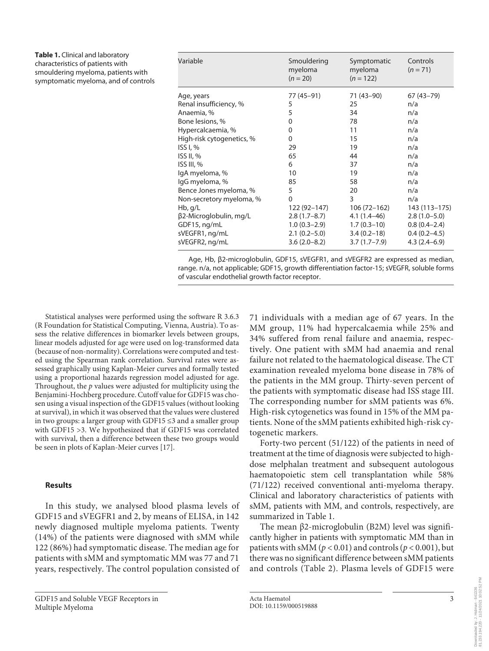| <b>Table 1.</b> Clinical and laboratory |
|-----------------------------------------|
| characteristics of patients with        |
| smouldering myeloma, patients with      |
| symptomatic myeloma, and of controls    |

| Variable                                                                   | Smouldering<br>myeloma<br>$(n = 20)$                                   | Symptomatic<br>myeloma<br>$(n = 122)$                               | Controls<br>$(n = 71)$                                               |
|----------------------------------------------------------------------------|------------------------------------------------------------------------|---------------------------------------------------------------------|----------------------------------------------------------------------|
| Age, years                                                                 | 77 (45-91)                                                             | 71 (43–90)                                                          | $67(43 - 79)$                                                        |
| Renal insufficiency, %                                                     | 5                                                                      | 25                                                                  | n/a                                                                  |
| Anaemia, %                                                                 | 5                                                                      | 34                                                                  | n/a                                                                  |
| Bone lesions, %                                                            | 0                                                                      | 78                                                                  | n/a                                                                  |
| Hypercalcaemia, %                                                          | 0                                                                      | 11                                                                  | n/a                                                                  |
| High-risk cytogenetics, %                                                  | $\mathbf 0$                                                            | 15                                                                  | n/a                                                                  |
| ISS I, %                                                                   | 29                                                                     | 19                                                                  | n/a                                                                  |
| ISS II, %                                                                  | 65                                                                     | 44                                                                  | n/a                                                                  |
| ISS III, %                                                                 | 6                                                                      | 37                                                                  | n/a                                                                  |
| lgA myeloma, %                                                             | 10                                                                     | 19                                                                  | n/a                                                                  |
| lgG myeloma, %                                                             | 85                                                                     | 58                                                                  | n/a                                                                  |
| Bence Jones myeloma, %                                                     | 5                                                                      | 20                                                                  | n/a                                                                  |
| Non-secretory myeloma, %                                                   | 0                                                                      | 3                                                                   | n/a                                                                  |
| Hb, g/L                                                                    | 122 (92-147)                                                           | 106 (72–162)                                                        | 143 (113–175)                                                        |
| β2-Microglobulin, mg/L<br>GDF15, ng/mL<br>sVEGFR1, ng/mL<br>sVEGFR2, ng/mL | $2.8(1.7-8.7)$<br>$1.0(0.3-2.9)$<br>$2.1(0.2 - 5.0)$<br>$3.6(2.0-8.2)$ | $4.1(1.4-46)$<br>$1.7(0.3-10)$<br>$3.4(0.2-18)$<br>$3.7(1.7 - 7.9)$ | $2.8(1.0-5.0)$<br>$0.8(0.4-2.4)$<br>$0.4(0.2-4.5)$<br>$4.3(2.4-6.9)$ |
|                                                                            |                                                                        |                                                                     |                                                                      |

Age, Hb, β2-microglobulin, GDF15, sVEGFR1, and sVEGFR2 are expressed as median, range. n/a, not applicable; GDF15, growth differentiation factor-15; sVEGFR, soluble forms of vascular endothelial growth factor receptor.

Statistical analyses were performed using the software R 3.6.3 (R Foundation for Statistical Computing, Vienna, Austria). To assess the relative differences in biomarker levels between groups, linear models adjusted for age were used on log-transformed data (because of non-normality). Correlations were computed and tested using the Spearman rank correlation. Survival rates were assessed graphically using Kaplan-Meier curves and formally tested using a proportional hazards regression model adjusted for age. Throughout, the *p* values were adjusted for multiplicity using the Benjamini-Hochberg procedure. Cutoff value for GDF15 was chosen using a visual inspection of the GDF15 values (without looking at survival), in which it was observed that the values were clustered in two groups: a larger group with GDF15 ≤3 and a smaller group with GDF15 >3. We hypothesized that if GDF15 was correlated with survival, then a difference between these two groups would be seen in plots of Kaplan-Meier curves [\[1](#page-6-0)[7](#page-6-6)].

## <span id="page-2-0"></span>**Results**

In this study, we analysed blood plasma levels of GDF15 and sVEGFR1 and 2, by means of ELISA, in 142 newly diagnosed multiple myeloma patients. Twenty (14%) of the patients were diagnosed with sMM while 122 (86%) had symptomatic disease. The median age for patients with sMM and symptomatic MM was 77 and 71 years, respectively. The control population consisted of

GDF15 and Soluble VEGF Receptors in Multiple Myeloma

71 individuals with a median age of 67 years. In the MM group, 11% had hypercalcaemia while 25% and 34% suffered from renal failure and anaemia, respectively. One patient with sMM had anaemia and renal failure not related to the haematological disease. The CT examination revealed myeloma bone disease in 78% of the patients in the MM group. Thirty-seven percent of the patients with symptomatic disease had ISS stage III. The corresponding number for sMM patients was 6%. High-risk cytogenetics was found in 15% of the MM patients. None of the sMM patients exhibited high-risk cytogenetic markers.

Forty-two percent (51/122) of the patients in need of treatment at the time of diagnosis were subjected to highdose melphalan treatment and subsequent autologous haematopoietic stem cell transplantation while 58% (71/122) received conventional anti-myeloma therapy. Clinical and laboratory characteristics of patients with sMM, patients with MM, and controls, respectively, are summarized in Table 1.

The mean β2-microglobulin (B2M) level was significantly higher in patients with symptomatic MM than in patients with sMM ( $p < 0.01$ ) and controls ( $p < 0.001$ ), but there was no significant difference between sMM patients and controls (Table 2). Plasma levels of GDF15 were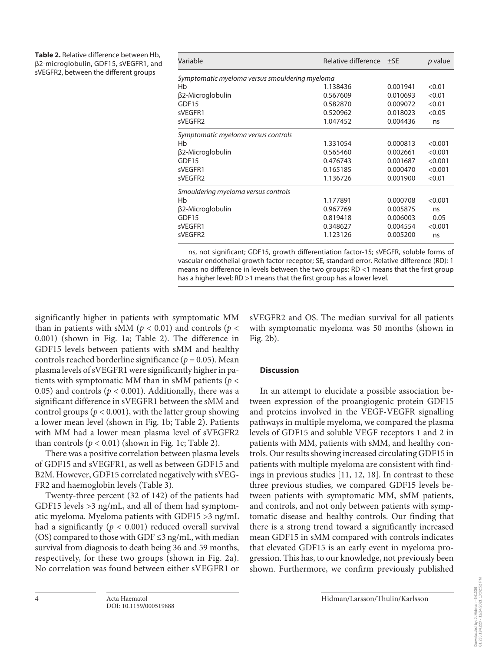| Table 2. Relative difference between Hb, |
|------------------------------------------|
| β2-microglobulin, GDF15, sVEGFR1, and    |
| sVEGFR2, between the different groups    |

| Variable                                       | Relative difference | $\pm$ SE | <i>p</i> value |  |  |  |
|------------------------------------------------|---------------------|----------|----------------|--|--|--|
| Symptomatic myeloma versus smouldering myeloma |                     |          |                |  |  |  |
| Hb                                             | 1.138436            | 0.001941 | < 0.01         |  |  |  |
| β2-Microglobulin                               | 0.567609            | 0.010693 | < 0.01         |  |  |  |
| GDF15                                          | 0.582870            | 0.009072 | < 0.01         |  |  |  |
| sVEGFR1                                        | 0.520962            | 0.018023 | < 0.05         |  |  |  |
| sVEGFR2                                        | 1.047452            | 0.004436 | ns             |  |  |  |
| Symptomatic myeloma versus controls            |                     |          |                |  |  |  |
| Hb                                             | 1.331054            | 0.000813 | < 0.001        |  |  |  |
| β2-Microglobulin                               | 0.565460            | 0.002661 | < 0.001        |  |  |  |
| GDF15                                          | 0.476743            | 0.001687 | < 0.001        |  |  |  |
| sVEGFR1                                        | 0.165185            | 0.000470 | < 0.001        |  |  |  |
| sVEGFR2                                        | 1.136726            | 0.001900 | < 0.01         |  |  |  |
| Smouldering myeloma versus controls            |                     |          |                |  |  |  |
| Hb                                             | 1.177891            | 0.000708 | < 0.001        |  |  |  |
| β2-Microglobulin                               | 0.967769            | 0.005875 | ns             |  |  |  |
| GDF15                                          | 0.819418            | 0.006003 | 0.05           |  |  |  |
| sVEGFR1                                        | 0.348627            | 0.004554 | < 0.001        |  |  |  |
| sVEGFR2                                        | 1.123126            | 0.005200 | ns             |  |  |  |

ns, not significant; GDF15, growth differentiation factor-15; sVEGFR, soluble forms of vascular endothelial growth factor receptor; SE, standard error. Relative difference (RD): 1 means no difference in levels between the two groups; RD <1 means that the first group has a higher level; RD >1 means that the first group has a lower level.

significantly higher in patients with symptomatic MM than in patients with sMM ( $p < 0.01$ ) and controls ( $p <$ 0.001) (shown in Fig. 1a; Table 2). The difference in GDF15 levels between patients with sMM and healthy controls reached borderline significance ( $p = 0.05$ ). Mean plasma levels of sVEGFR1 were significantly higher in patients with symptomatic MM than in sMM patients (*p* < 0.05) and controls ( $p < 0.001$ ). Additionally, there was a significant difference in sVEGFR1 between the sMM and control groups ( $p < 0.001$ ), with the latter group showing a lower mean level (shown in Fig. 1b; Table 2). Patients with MM had a lower mean plasma level of sVEGFR2 than controls  $(p < 0.01)$  (shown in Fig. 1c; Table 2).

There was a positive correlation between plasma levels of GDF15 and sVEGFR1, as well as between GDF15 and Β2Μ. However, GDF15 correlated negatively with sVEG-FR2 and haemoglobin levels (Table 3).

Twenty-three percent (32 of 142) of the patients had GDF15 levels >3 ng/mL, and all of them had symptomatic myeloma. Myeloma patients with GDF15 >3 ng/mL had a significantly ( $p < 0.001$ ) reduced overall survival (OS) compared to those with GDF  $\leq$ 3 ng/mL, with median survival from diagnosis to death being 36 and 59 months, respectively, for these two groups (shown in Fig. 2a). No correlation was found between either sVEGFR1 or sVEGFR2 and OS. The median survival for all patients with symptomatic myeloma was 50 months (shown in Fig. 2b).

# **Discussion**

<span id="page-3-0"></span>In an attempt to elucidate a possible association between expression of the proangiogenic protein GDF15 and proteins involved in the VEGF-VEGFR signalling pathways in multiple myeloma, we compared the plasma levels of GDF15 and soluble VEGF receptors 1 and 2 in patients with MM, patients with sMM, and healthy controls. Our results showing increased circulating GDF15 in patients with multiple myeloma are consistent with findings in previous studies [\[11,](#page-6-0) [1](#page-6-0)[2,](#page-6-1) [1](#page-6-0)[8\]](#page-6-7). In contrast to these three previous studies, we compared GDF15 levels between patients with symptomatic MM, sMM patients, and controls, and not only between patients with symptomatic disease and healthy controls. Our finding that there is a strong trend toward a significantly increased mean GDF15 in sMM compared with controls indicates that elevated GDF15 is an early event in myeloma progression. This has, to our knowledge, not previously been shown. Furthermore, we confirm previously published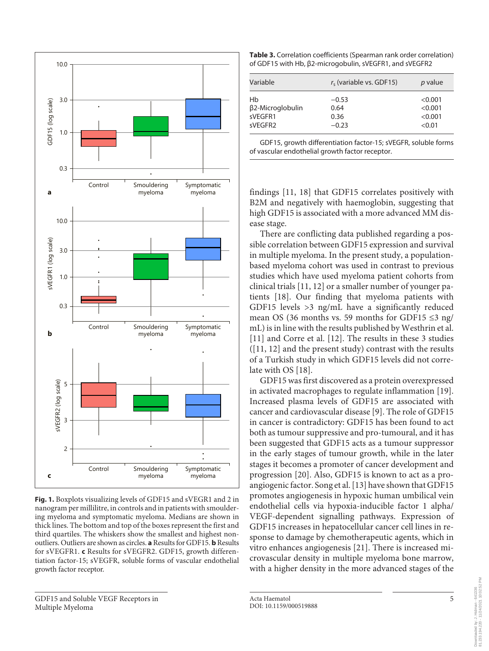

**Fig. 1.** Boxplots visualizing levels of GDF15 and sVEGR1 and 2 in nanogram per millilitre, in controls and in patients with smouldering myeloma and symptomatic myeloma. Medians are shown in thick lines. The bottom and top of the boxes represent the first and third quartiles. The whiskers show the smallest and highest nonoutliers. Outliers are shown as circles. **a** Results for GDF15. **b** Results for sVEGFR1. **c** Results for sVEGFR2. GDF15, growth differentiation factor-15; sVEGFR, soluble forms of vascular endothelial growth factor receptor.

**Table 3.** Correlation coefficients (Spearman rank order correlation) of GDF15 with Hb, β2-microgobulin, sVEGFR1, and sVEGFR2

| Variable         | $rs$ (variable vs. GDF15) | <i>p</i> value |
|------------------|---------------------------|----------------|
| Hb               | $-0.53$                   | < 0.001        |
| β2-Microglobulin | 0.64                      | < 0.001        |
| sVFGFR1          | 0.36                      | < 0.001        |
| sVFGFR2          | $-0.23$                   | < 0.01         |

GDF15, growth differentiation factor-15; sVEGFR, soluble forms of vascular endothelial growth factor receptor.

findings [[11](#page-6-0), [1](#page-6-0)[8](#page-6-7)] that GDF15 correlates positively with B2M and negatively with haemoglobin, suggesting that high GDF15 is associated with a more advanced MM disease stage.

There are conflicting data published regarding a possible correlation between GDF15 expression and survival in multiple myeloma. In the present study, a populationbased myeloma cohort was used in contrast to previous studies which have used myeloma patient cohorts from clinical trials [[11](#page-6-0), [1](#page-6-0)[2\]](#page-6-1) or a smaller number of younger patients [[1](#page-6-0)[8\]](#page-6-7). Our finding that myeloma patients with GDF15 levels >3 ng/mL have a significantly reduced mean OS (36 months vs. 59 months for GDF15 ≤3 ng/ mL) is in line with the results published by Westhrin et al. [[11](#page-6-0)] and Corre et al. [[1](#page-6-0)[2](#page-6-1)]. The results in these 3 studies ([[11](#page-6-0), [1](#page-6-0)[2\]](#page-6-1) and the present study) contrast with the results of a Turkish study in which GDF15 levels did not correlate with OS [\[1](#page-6-0)[8\]](#page-6-7).

<span id="page-4-2"></span><span id="page-4-1"></span><span id="page-4-0"></span>GDF15 was first discovered as a protein overexpressed in activated macrophages to regulate inflammation [[1](#page-6-0)[9](#page-6-8)]. Increased plasma levels of GDF15 are associated with cancer and cardiovascular disease [[9](#page-6-8)]. The role of GDF15 in cancer is contradictory: GDF15 has been found to act both as tumour suppressive and pro-tumoural, and it has been suggested that GDF15 acts as a tumour suppressor in the early stages of tumour growth, while in the later stages it becomes a promoter of cancer development and progression [[20](#page-6-1)]. Also, GDF15 is known to act as a proangiogenic factor. Song et al. [[1](#page-6-0)[3](#page-6-2)] have shown that GDF15 promotes angiogenesis in hypoxic human umbilical vein endothelial cells via hypoxia-inducible factor 1 alpha/ VEGF-dependent signalling pathways. Expression of GDF15 increases in hepatocellular cancer cell lines in response to damage by chemotherapeutic agents, which in vitro enhances angiogenesis [\[2](#page-6-1)[1\]](#page-6-0). There is increased microvascular density in multiple myeloma bone marrow, with a higher density in the more advanced stages of the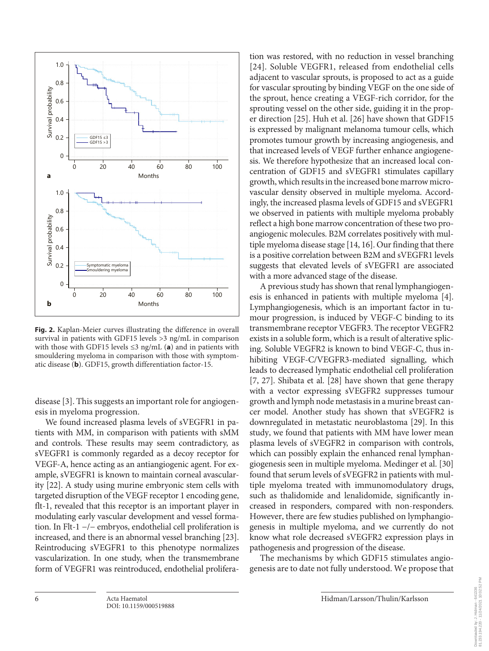

**Fig. 2.** Kaplan-Meier curves illustrating the difference in overall survival in patients with GDF15 levels >3 ng/mL in comparison with those with GDF15 levels ≤3 ng/mL (**a**) and in patients with smouldering myeloma in comparison with those with symptomatic disease (**b**). GDF15, growth differentiation factor-15.

disease [\[3\]](#page-6-2). This suggests an important role for angiogenesis in myeloma progression.

We found increased plasma levels of sVEGFR1 in patients with MM, in comparison with patients with sMM and controls. These results may seem contradictory, as sVEGFR1 is commonly regarded as a decoy receptor for VEGF-A, hence acting as an antiangiogenic agent. For example, sVEGFR1 is known to maintain corneal avascularity [\[22](#page-6-1)]. A study using murine embryonic stem cells with targeted disruption of the VEGF receptor 1 encoding gene, flt-1, revealed that this receptor is an important player in modulating early vascular development and vessel formation. In Flt-1 −/− embryos, endothelial cell proliferation is increased, and there is an abnormal vessel branching [[2](#page-6-1)[3](#page-6-2)]. Reintroducing sVEGFR1 to this phenotype normalizes vascularization. In one study, when the transmembrane form of VEGFR1 was reintroduced, endothelial proliferation was restored, with no reduction in vessel branching [[2](#page-6-1)[4\]](#page-6-3). Soluble VEGFR1, released from endothelial cells adjacent to vascular sprouts, is proposed to act as a guide for vascular sprouting by binding VEGF on the one side of the sprout, hence creating a VEGF-rich corridor, for the sprouting vessel on the other side, guiding it in the proper direction [[2](#page-6-1)[5](#page-6-4)]. Huh et al. [\[2](#page-6-1)[6\]](#page-6-5) have shown that GDF15 is expressed by malignant melanoma tumour cells, which promotes tumour growth by increasing angiogenesis, and that increased levels of VEGF further enhance angiogenesis. We therefore hypothesize that an increased local concentration of GDF15 and sVEGFR1 stimulates capillary growth, which results in the increased bone marrow microvascular density observed in multiple myeloma. Accordingly, the increased plasma levels of GDF15 and sVEGFR1 we observed in patients with multiple myeloma probably reflect a high bone marrow concentration of these two proangiogenic molecules. B2M correlates positively with multiple myeloma disease stage [[1](#page-6-0)[4](#page-6-3), [1](#page-6-0)[6\]](#page-6-5). Our finding that there is a positive correlation between B2M and sVEGFR1 levels suggests that elevated levels of sVEGFR1 are associated with a more advanced stage of the disease.

A previous study has shown that renal lymphangiogenesis is enhanced in patients with multiple myeloma [\[4\]](#page-6-3). Lymphangiogenesis, which is an important factor in tumour progression, is induced by VEGF-C binding to its transmembrane receptor VEGFR3. The receptor VEGFR2 exists in a soluble form, which is a result of alterative splicing. Soluble VEGFR2 is known to bind VEGF-C, thus inhibiting VEGF-C/VEGFR3-mediated signalling, which leads to decreased lymphatic endothelial cell proliferation [[7,](#page-6-6) [2](#page-6-1)[7](#page-6-6)]. Shibata et al. [[2](#page-6-1)[8\]](#page-6-7) have shown that gene therapy with a vector expressing sVEGFR2 suppresses tumour growth and lymph node metastasis in a murine breast cancer model. Another study has shown that sVEGFR2 is downregulated in metastatic neuroblastoma [\[2](#page-6-1)[9](#page-6-8)]. In this study, we found that patients with MM have lower mean plasma levels of sVEGFR2 in comparison with controls, which can possibly explain the enhanced renal lymphangiogenesis seen in multiple myeloma. Medinger et al. [[30](#page-6-2)] found that serum levels of sVEGFR2 in patients with multiple myeloma treated with immunomodulatory drugs, such as thalidomide and lenalidomide, significantly increased in responders, compared with non-responders. However, there are few studies published on lymphangiogenesis in multiple myeloma, and we currently do not know what role decreased sVEGFR2 expression plays in pathogenesis and progression of the disease.

The mechanisms by which GDF15 stimulates angiogenesis are to date not fully understood. We propose that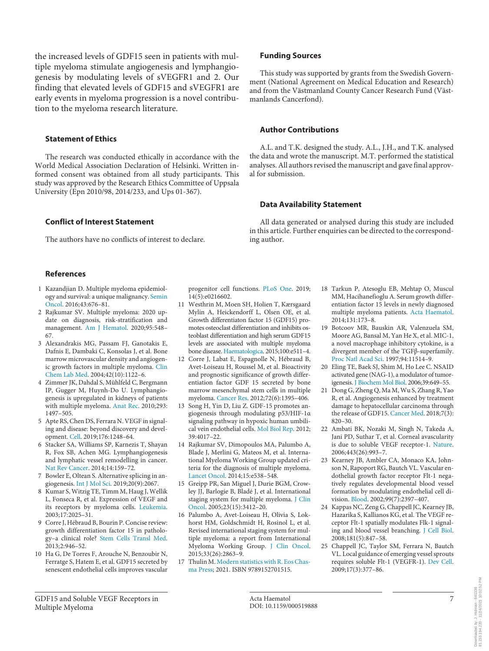the increased levels of GDF15 seen in patients with multiple myeloma stimulate angiogenesis and lymphangiogenesis by modulating levels of sVEGFR1 and 2. Our finding that elevated levels of GDF15 and sVEGFR1 are early events in myeloma progression is a novel contribution to the myeloma research literature.

## **Statement of Ethics**

The research was conducted ethically in accordance with the World Medical Association Declaration of Helsinki. Written informed consent was obtained from all study participants. This study was approved by the Research Ethics Committee of Uppsala University (Epn 2010/98, 2014/233, and Ups 01-367).

## **Conflict of Interest Statement**

The authors have no conflicts of interest to declare.

#### **References**

- <span id="page-6-0"></span>[1](#page-0-0) Kazandjian D. Multiple myeloma epidemiology and survival: a unique malignancy. [Semin](https://www.karger.com/Article/FullText/519888?ref=1#ref1) [Oncol.](https://www.karger.com/Article/FullText/519888?ref=1#ref1) 2016;43:676–81.
- <span id="page-6-1"></span>[2](#page-1-0) Rajkumar SV. Multiple myeloma: 2020 update on diagnosis, risk-stratification and management. [Am J Hematol](https://www.karger.com/Article/FullText/519888?ref=2#ref2). 2020;95:548– 67.
- <span id="page-6-2"></span>[3](#page-1-1) Alexandrakis MG, Passam FJ, Ganotakis E, Dafnis E, Dambaki C, Konsolas J, et al. Bone marrow microvascular density and angiogenic growth factors in multiple myeloma. [Clin](https://www.karger.com/Article/FullText/519888?ref=3#ref3) [Chem Lab Med.](https://www.karger.com/Article/FullText/519888?ref=3#ref3) 2004;42(10):1122–6.
- <span id="page-6-3"></span>[4](#page-1-2) Zimmer JK, Dahdal S, Mühlfeld C, Bergmann IP, Gugger M, Huynh-Do U. Lymphangiogenesis is upregulated in kidneys of patients with multiple myeloma. [Anat Rec](https://www.karger.com/Article/FullText/519888?ref=4#ref4). 2010;293: 1497–505.
- <span id="page-6-4"></span>[5](#page-1-3) Apte RS, Chen DS, Ferrara N. VEGF in signaling and disease: beyond discovery and development. [Cell](https://www.karger.com/Article/FullText/519888?ref=5#ref5). 2019;176:1248–64.
- <span id="page-6-5"></span>[6](#page-1-4) Stacker SA, Williams SP, Karnezis T, Shayan R, Fox SB, Achen MG. Lymphangiogenesis and lymphatic vessel remodelling in cancer. [Nat Rev Cancer](https://www.karger.com/Article/FullText/519888?ref=6#ref6). 2014;14:159–72.
- <span id="page-6-6"></span>[7](#page-1-4) Bowler E, Oltean S. Alternative splicing in angiogenesis. [Int J Mol Sci](https://www.karger.com/Article/FullText/519888?ref=7#ref7). 2019;20(9):2067.
- <span id="page-6-7"></span>[8](#page-1-5) Kumar S, Witzig TE, Timm M, Haug J, Wellik L, Fonseca R, et al. Expression of VEGF and its receptors by myeloma cells. [Leukemia](https://www.karger.com/Article/FullText/519888?ref=8#ref8). 2003;17:2025–31.
- <span id="page-6-8"></span>[9](#page-1-6) Corre J, Hébraud B, Bourin P. Concise review: growth differentiation factor 15 in pathology–a clinical role? [Stem Cells Transl Med](https://www.karger.com/Article/FullText/519888?ref=9#ref9). 2013;2:946–52.
- [10](#page-1-7) Ha G, De Torres F, Arouche N, Benzoubir N, Ferratge S, Hatem E, et al. GDF15 secreted by senescent endothelial cells improves vascular

progenitor cell functions. [PLoS One](https://www.karger.com/Article/FullText/519888?ref=10#ref10). 2019; 14(5):e0216602.

- [11](#page-1-8) Westhrin M, Moen SH, Holien T, Kærsgaard Mylin A, Heickendorff L, Olsen OE, et al. Growth differentiaton factor 15 (GDF15) promotes osteoclast differentiation and inhibits osteoblast differentiation and high serum GDF15 levels are associated with multiple myeloma bone disease. [Haematologica](https://www.karger.com/Article/FullText/519888?ref=11#ref11). 2015;100:e511–4.
- [12](#page-1-8) Corre J, Labat E, Espagnolle N, Hébraud B, Avet-Loiseau H, Roussel M, et al. Bioactivity and prognostic significance of growth differentiation factor GDF 15 secreted by bone marrow mesenchymal stem cells in multiple myeloma. [Cancer Res](https://www.karger.com/Article/FullText/519888?ref=12#ref12). 2012;72(6):1395–406.
- [13](#page-1-9) Song H, Yin D, Liu Z. GDF-15 promotes angiogenesis through modulating p53/HIF-1α signaling pathway in hypoxic human umbilical vein endothelial cells. [Mol Biol Rep.](https://www.karger.com/Article/FullText/519888?ref=13#ref13) 2012; 39:4017–22.
- [14](#page-1-10) Rajkumar SV, Dimopoulos MA, Palumbo A, Blade J, Merlini G, Mateos M, et al. International Myeloma Working Group updated criteria for the diagnosis of multiple myeloma. [Lancet Oncol](https://www.karger.com/Article/FullText/519888?ref=14#ref14). 2014;15:e538–548.
- [15](#page-1-11) Greipp PR, San Miguel J, Durie BGM, Crowley JJ, Barlogie B, Bladé J, et al. International staging system for multiple myeloma. [J Clin](https://www.karger.com/Article/FullText/519888?ref=15#ref15) [Oncol](https://www.karger.com/Article/FullText/519888?ref=15#ref15). 2005;23(15):3412–20.
- [16](#page-1-12) Palumbo A, Avet-Loiseau H, Olivia S, Lokhorst HM, Goldschmidt H, Rosinol L, et al. Revised international staging system for multiple myeloma: a report from International Myeloma Working Group. [J Clin Oncol.](https://www.karger.com/Article/FullText/519888?ref=16#ref16) 2015;33(26):2863–9.
- [17](#page-2-0) Thulin M. [Modern statistics with R. Eos Chas](https://www.karger.com/Article/FullText/519888?ref=17#ref17)[ma Press](https://www.karger.com/Article/FullText/519888?ref=17#ref17); 2021. ISBN 9789152701515.

#### **Funding Sources**

This study was supported by grants from the Swedish Government (National Agreement on Medical Education and Research) and from the Västmanland County Cancer Research Fund (Västmanlands Cancerfond).

#### **Author Contributions**

A.L. and T.K. designed the study. A.L., J.H., and T.K. analysed the data and wrote the manuscript. M.T. performed the statistical analyses. All authors revised the manuscript and gave final approval for submission.

#### **Data Availability Statement**

All data generated or analysed during this study are included in this article. Further enquiries can be directed to the corresponding author.

- [18](#page-3-0) Tarkun P, Atesoglu EB, Mehtap O, Muscul MM, Hacihanefioglu A. Serum growth differentiation factor 15 levels in newly diagnosed multiple myeloma patients. [Acta Haematol.](https://www.karger.com/Article/FullText/519888?ref=18#ref18) 2014;131:173–8.
- [19](#page-4-0) Botcoov MR, Bauskin AR, Valenzuela SM, Moore AG, Bansal M, Yan He X, et al. MIC-1, a novel macrophage inhibitory cytokine, is a divergent member of the TGFβ-superfamily. [Proc Natl Acad Sci](https://www.karger.com/Article/FullText/519888?ref=19#ref19). 1997;94:11514–9.
- [20](#page-4-1) Eling TE, Baek SJ, Shim M, Ho Lee C. NSAID activated gene (NAG-1), a modulator of tumorigenesis. [J Biochem Mol Biol.](https://www.karger.com/Article/FullText/519888?ref=20#ref20) 2006;39:649–55.
- [21](#page-4-2) Dong G, Zheng Q, Ma M, Wu S, Zhang R, Yao R, et al. Angiogenesis enhanced by treatment damage to hepatocellular carcinoma through the release of GDF15. [Cancer Med.](https://www.karger.com/Article/FullText/519888?ref=21#ref21) 2018;7(3): 820–30.
- 22 Ambati BK, Nozaki M, Singh N, Takeda A, Jani PD, Suthar T, et al. Corneal avascularity is due to soluble VEGF receptor-1. [Nature.](https://www.karger.com/Article/FullText/519888?ref=22#ref22) 2006;443(26):993–7.
- 23 Kearney JB, Ambler CA, Monaco KA, Johnson N, Rapoport RG, Bautch VL. Vascular endothelial growth factor receptor Flt-1 negatively regulates developmental blood vessel formation by modulating endothelial cell division. [Blood](https://www.karger.com/Article/FullText/519888?ref=23#ref23). 2002;99(7):2397–407.
- 24 Kappas NC, Zeng G, Chappell JC, Kearney JB, Hazarika S, Kallianos KG, et al. The VEGF receptor Flt-1 spatially modulates Flk-1 signaling and blood vessel branching. [J Cell Biol.](https://www.karger.com/Article/FullText/519888?ref=24#ref24) 2008;181(5):847–58.
- 25 Chappell JC, Taylor SM, Ferrara N, Bautch VL. Local guidance of emerging vessel sprouts requires soluble Flt-1 (VEGFR-1). [Dev Cell.](https://www.karger.com/Article/FullText/519888?ref=25#ref25) 2009;17(3):377–86.

GDF15 and Soluble VEGF Receptors in Multiple Myeloma